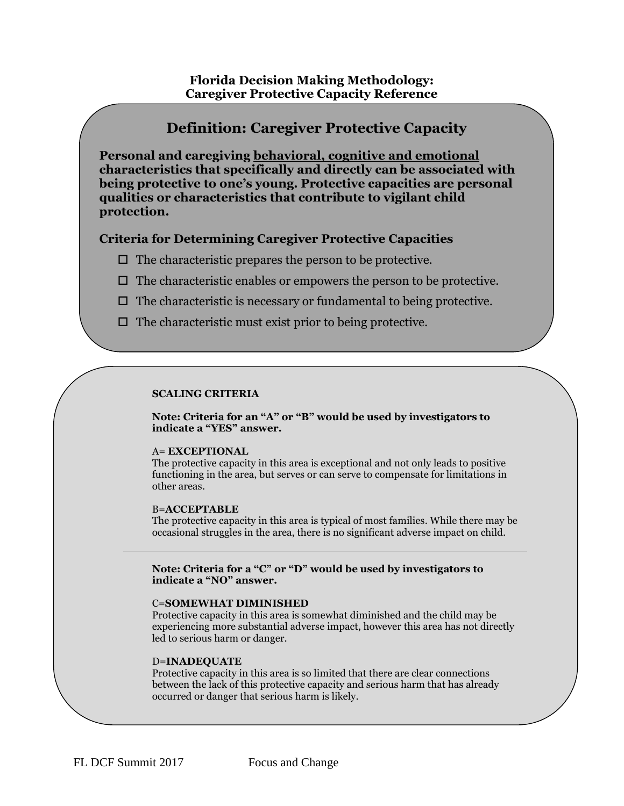# **Florida Decision Making Methodology: Caregiver Protective Capacity Reference**

# **Definition: Caregiver Protective Capacity Personal and caregiving behavioral, cognitive and emotional characteristics that specifically and directly can be associated with being protective to one's young. Protective capacities are personal qualities or characteristics that contribute to vigilant child protection. Criteria for Determining Caregiver Protective Capacities**  $\Box$  The characteristic prepares the person to be protective.  $\Box$  The characteristic enables or empowers the person to be protective.  $\Box$  The characteristic is necessary or fundamental to being protective.  $\Box$  The characteristic must exist prior to being protective. The characteristic can be related to act or being able to act or behalf or behalf or behalf or behalf of  $\mathcal{L}$

# **SCALING CRITERIA**

a child.

**Note: Criteria for an "A" or "B" would be used by investigators to indicate a "YES" answer.**

#### A= **EXCEPTIONAL**

The protective capacity in this area is exceptional and not only leads to positive functioning in the area, but serves or can serve to compensate for limitations in other areas.

#### B=**ACCEPTABLE**

The protective capacity in this area is typical of most families. While there may be occasional struggles in the area, there is no significant adverse impact on child.

**Note: Criteria for a "C" or "D" would be used by investigators to indicate a "NO" answer.**

#### C=**SOMEWHAT DIMINISHED**

Protective capacity in this area is somewhat diminished and the child may be experiencing more substantial adverse impact, however this area has not directly led to serious harm or danger.

#### D=**INADEQUATE**

Protective capacity in this area is so limited that there are clear connections between the lack of this protective capacity and serious harm that has already occurred or danger that serious harm is likely.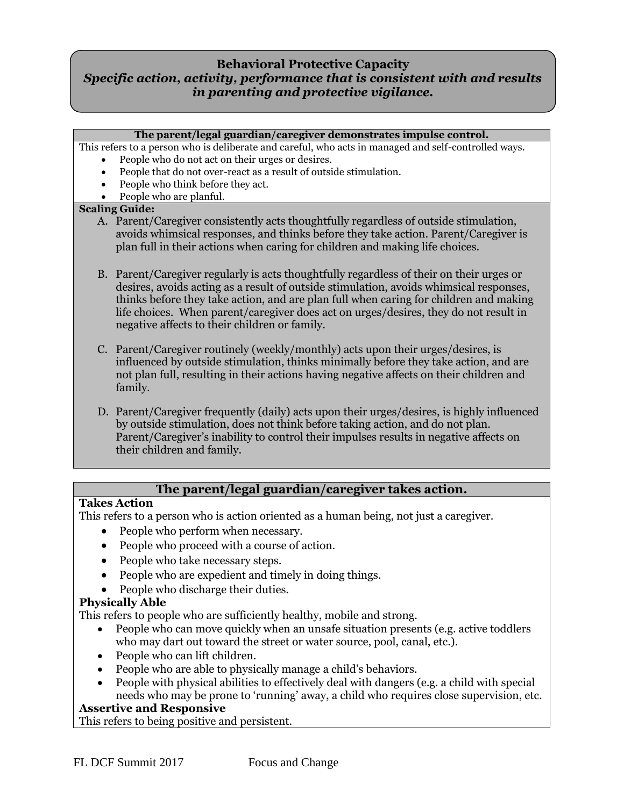# **Behavioral Protective Capacity** *Specific action, activity, performance that is consistent with and results in parenting and protective vigilance.*

# **The parent/legal guardian/caregiver demonstrates impulse control.**

This refers to a person who is deliberate and careful, who acts in managed and self-controlled ways.

- People who do not act on their urges or desires.
	- People that do not over-react as a result of outside stimulation.
	- People who think before they act.
	- People who are planful.

# **Scaling Guide:**

- A. Parent/Caregiver consistently acts thoughtfully regardless of outside stimulation, avoids whimsical responses, and thinks before they take action. Parent/Caregiver is plan full in their actions when caring for children and making life choices.
- B. Parent/Caregiver regularly is acts thoughtfully regardless of their on their urges or desires, avoids acting as a result of outside stimulation, avoids whimsical responses, thinks before they take action, and are plan full when caring for children and making life choices. When parent/caregiver does act on urges/desires, they do not result in negative affects to their children or family.
- C. Parent/Caregiver routinely (weekly/monthly) acts upon their urges/desires, is influenced by outside stimulation, thinks minimally before they take action, and are not plan full, resulting in their actions having negative affects on their children and family.
- D. Parent/Caregiver frequently (daily) acts upon their urges/desires, is highly influenced by outside stimulation, does not think before taking action, and do not plan. Parent/Caregiver's inability to control their impulses results in negative affects on their children and family.

# **The parent/legal guardian/caregiver takes action.**

# **Takes Action**

This refers to a person who is action oriented as a human being, not just a caregiver.

- People who perform when necessary.
- People who proceed with a course of action.
- People who take necessary steps.
- People who are expedient and timely in doing things.
- People who discharge their duties.

# **Physically Able**

This refers to people who are sufficiently healthy, mobile and strong.

- People who can move quickly when an unsafe situation presents (e.g. active toddlers who may dart out toward the street or water source, pool, canal, etc.).
- People who can lift children.
- People who are able to physically manage a child's behaviors.
- People with physical abilities to effectively deal with dangers (e.g. a child with special needs who may be prone to 'running' away, a child who requires close supervision, etc.

# **Assertive and Responsive**

This refers to being positive and persistent.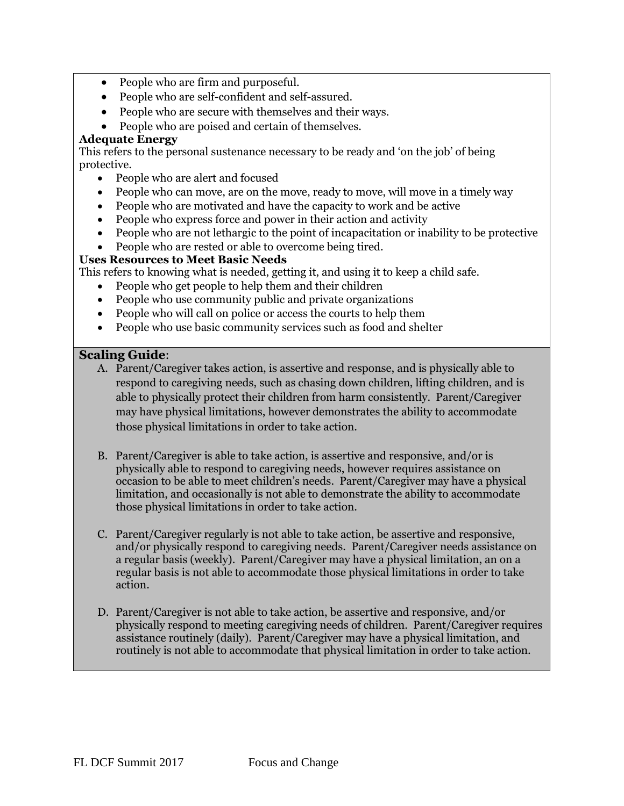- People who are firm and purposeful.
- People who are self-confident and self-assured.
- People who are secure with themselves and their ways.
- People who are poised and certain of themselves.

# **Adequate Energy**

This refers to the personal sustenance necessary to be ready and 'on the job' of being protective.

- People who are alert and focused
- People who can move, are on the move, ready to move, will move in a timely way
- People who are motivated and have the capacity to work and be active
- People who express force and power in their action and activity
- People who are not lethargic to the point of incapacitation or inability to be protective
- People who are rested or able to overcome being tired.

# **Uses Resources to Meet Basic Needs**

This refers to knowing what is needed, getting it, and using it to keep a child safe.

- People who get people to help them and their children
- People who use community public and private organizations
- People who will call on police or access the courts to help them
- People who use basic community services such as food and shelter

# **Scaling Guide**:

- A. Parent/Caregiver takes action, is assertive and response, and is physically able to respond to caregiving needs, such as chasing down children, lifting children, and is able to physically protect their children from harm consistently. Parent/Caregiver may have physical limitations, however demonstrates the ability to accommodate those physical limitations in order to take action.
- B. Parent/Caregiver is able to take action, is assertive and responsive, and/or is physically able to respond to caregiving needs, however requires assistance on occasion to be able to meet children's needs. Parent/Caregiver may have a physical limitation, and occasionally is not able to demonstrate the ability to accommodate those physical limitations in order to take action.
- C. Parent/Caregiver regularly is not able to take action, be assertive and responsive, and/or physically respond to caregiving needs. Parent/Caregiver needs assistance on a regular basis (weekly). Parent/Caregiver may have a physical limitation, an on a regular basis is not able to accommodate those physical limitations in order to take action.
- D. Parent/Caregiver is not able to take action, be assertive and responsive, and/or physically respond to meeting caregiving needs of children. Parent/Caregiver requires assistance routinely (daily). Parent/Caregiver may have a physical limitation, and routinely is not able to accommodate that physical limitation in order to take action.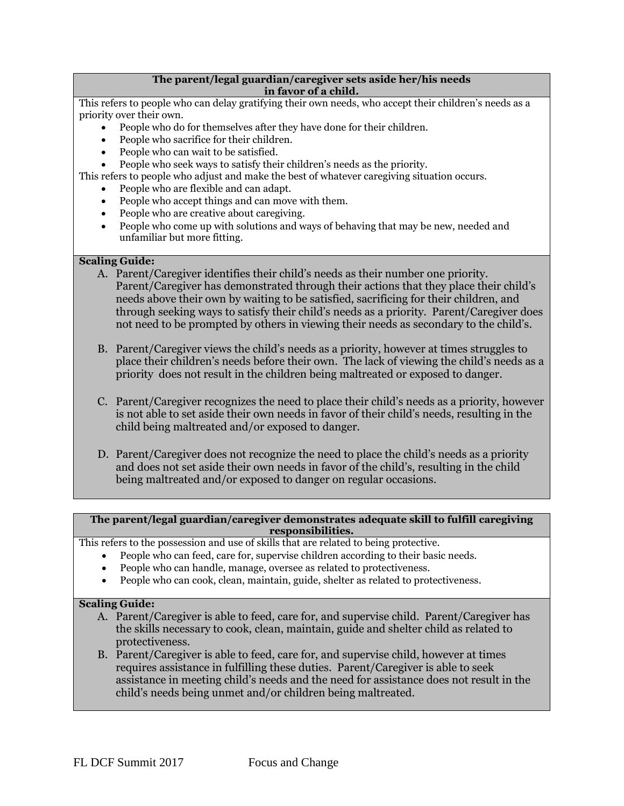#### **The parent/legal guardian/caregiver sets aside her/his needs in favor of a child.**

This refers to people who can delay gratifying their own needs, who accept their children's needs as a priority over their own.

- People who do for themselves after they have done for their children.
- People who sacrifice for their children.
- People who can wait to be satisfied.
- People who seek ways to satisfy their children's needs as the priority.

This refers to people who adjust and make the best of whatever caregiving situation occurs.

- People who are flexible and can adapt.
- People who accept things and can move with them.
- People who are creative about caregiving.
- People who come up with solutions and ways of behaving that may be new, needed and unfamiliar but more fitting.

## **Scaling Guide:**

- A. Parent/Caregiver identifies their child's needs as their number one priority. Parent/Caregiver has demonstrated through their actions that they place their child's needs above their own by waiting to be satisfied, sacrificing for their children, and through seeking ways to satisfy their child's needs as a priority. Parent/Caregiver does not need to be prompted by others in viewing their needs as secondary to the child's.
- B. Parent/Caregiver views the child's needs as a priority, however at times struggles to place their children's needs before their own. The lack of viewing the child's needs as a priority does not result in the children being maltreated or exposed to danger.
- C. Parent/Caregiver recognizes the need to place their child's needs as a priority, however is not able to set aside their own needs in favor of their child's needs, resulting in the child being maltreated and/or exposed to danger.
- D. Parent/Caregiver does not recognize the need to place the child's needs as a priority and does not set aside their own needs in favor of the child's, resulting in the child being maltreated and/or exposed to danger on regular occasions.

#### **The parent/legal guardian/caregiver demonstrates adequate skill to fulfill caregiving responsibilities.**

This refers to the possession and use of skills that are related to being protective.

- People who can feed, care for, supervise children according to their basic needs.
- People who can handle, manage, oversee as related to protectiveness.
- People who can cook, clean, maintain, guide, shelter as related to protectiveness.

## **Scaling Guide:**

- A. Parent/Caregiver is able to feed, care for, and supervise child. Parent/Caregiver has the skills necessary to cook, clean, maintain, guide and shelter child as related to protectiveness.
- B. Parent/Caregiver is able to feed, care for, and supervise child, however at times requires assistance in fulfilling these duties. Parent/Caregiver is able to seek assistance in meeting child's needs and the need for assistance does not result in the child's needs being unmet and/or children being maltreated.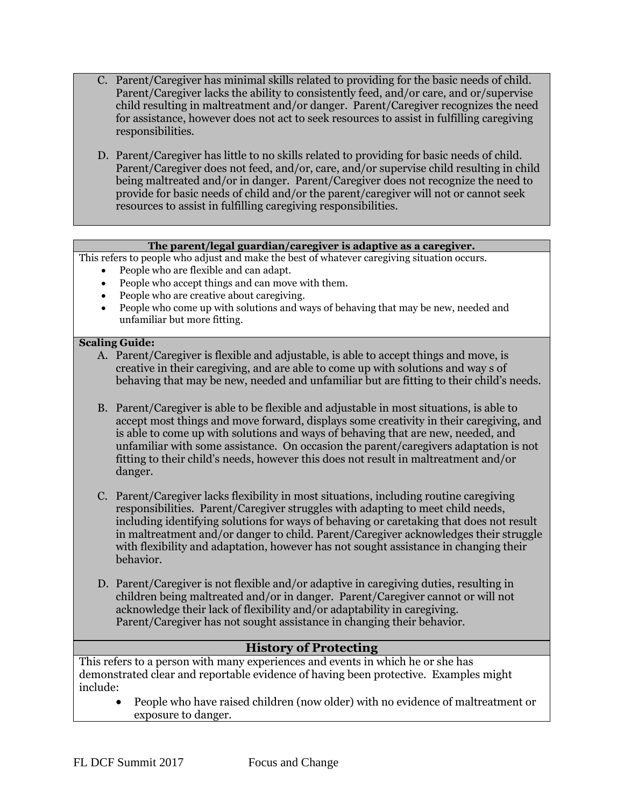- C. Parent/Caregiver has minimal skills related to providing for the basic needs of child. Parent/Caregiver lacks the ability to consistently feed, and/or care, and or/supervise child resulting in maltreatment and/or danger. Parent/Caregiver recognizes the need for assistance, however does not act to seek resources to assist in fulfilling caregiving responsibilities.
- D. Parent/Caregiver has little to no skills related to providing for basic needs of child. Parent/Caregiver does not feed, and/or, care, and/or supervise child resulting in child being maltreated and/or in danger. Parent/Caregiver does not recognize the need to provide for basic needs of child and/or the parent/caregiver will not or cannot seek resources to assist in fulfilling caregiving responsibilities.

# **The parent/legal guardian/caregiver is adaptive as a caregiver.**

This refers to people who adjust and make the best of whatever caregiving situation occurs.

- People who are flexible and can adapt.
- People who accept things and can move with them.
- People who are creative about caregiving.
- People who come up with solutions and ways of behaving that may be new, needed and unfamiliar but more fitting.

# **Scaling Guide:**

- A. Parent/Caregiver is flexible and adjustable, is able to accept things and move, is creative in their caregiving, and are able to come up with solutions and way s of behaving that may be new, needed and unfamiliar but are fitting to their child's needs.
- B. Parent/Caregiver is able to be flexible and adjustable in most situations, is able to accept most things and move forward, displays some creativity in their caregiving, and is able to come up with solutions and ways of behaving that are new, needed, and unfamiliar with some assistance. On occasion the parent/caregivers adaptation is not fitting to their child's needs, however this does not result in maltreatment and/or danger.
- C. Parent/Caregiver lacks flexibility in most situations, including routine caregiving responsibilities. Parent/Caregiver struggles with adapting to meet child needs, including identifying solutions for ways of behaving or caretaking that does not result in maltreatment and/or danger to child. Parent/Caregiver acknowledges their struggle with flexibility and adaptation, however has not sought assistance in changing their behavior.
- D. Parent/Caregiver is not flexible and/or adaptive in caregiving duties, resulting in children being maltreated and/or in danger. Parent/Caregiver cannot or will not acknowledge their lack of flexibility and/or adaptability in caregiving. Parent/Caregiver has not sought assistance in changing their behavior.

# **History of Protecting**

This refers to a person with many experiences and events in which he or she has demonstrated clear and reportable evidence of having been protective. Examples might include:

 People who have raised children (now older) with no evidence of maltreatment or exposure to danger.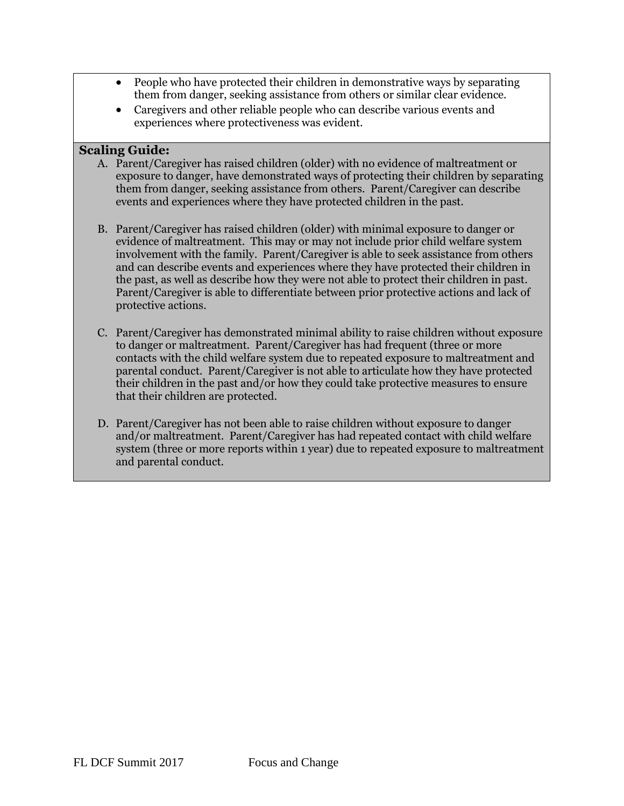- People who have protected their children in demonstrative ways by separating them from danger, seeking assistance from others or similar clear evidence.
- Caregivers and other reliable people who can describe various events and experiences where protectiveness was evident.

# **Scaling Guide:**

- A. Parent/Caregiver has raised children (older) with no evidence of maltreatment or exposure to danger, have demonstrated ways of protecting their children by separating them from danger, seeking assistance from others. Parent/Caregiver can describe events and experiences where they have protected children in the past.
- B. Parent/Caregiver has raised children (older) with minimal exposure to danger or evidence of maltreatment. This may or may not include prior child welfare system involvement with the family. Parent/Caregiver is able to seek assistance from others and can describe events and experiences where they have protected their children in the past, as well as describe how they were not able to protect their children in past. Parent/Caregiver is able to differentiate between prior protective actions and lack of protective actions.
- C. Parent/Caregiver has demonstrated minimal ability to raise children without exposure to danger or maltreatment. Parent/Caregiver has had frequent (three or more contacts with the child welfare system due to repeated exposure to maltreatment and parental conduct. Parent/Caregiver is not able to articulate how they have protected their children in the past and/or how they could take protective measures to ensure that their children are protected.
- D. Parent/Caregiver has not been able to raise children without exposure to danger and/or maltreatment. Parent/Caregiver has had repeated contact with child welfare system (three or more reports within 1 year) due to repeated exposure to maltreatment and parental conduct.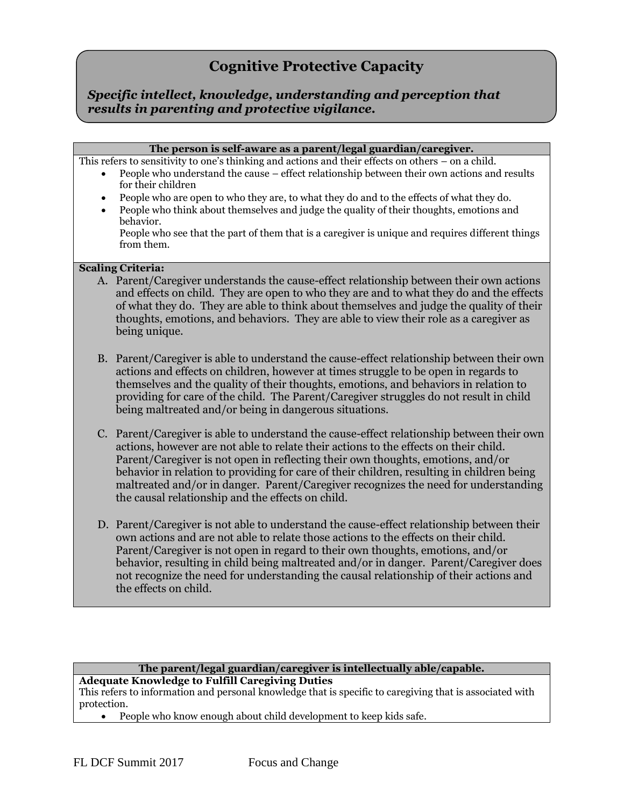# **Cognitive Protective Capacity**

*Specific intellect, knowledge, understanding and perception that results in parenting and protective vigilance.*

#### **The person is self-aware as a parent/legal guardian/caregiver.**

This refers to sensitivity to one's thinking and actions and their effects on others – on a child.

- People who understand the cause effect relationship between their own actions and results for their children
- People who are open to who they are, to what they do and to the effects of what they do.
- People who think about themselves and judge the quality of their thoughts, emotions and behavior.

People who see that the part of them that is a caregiver is unique and requires different things from them.

#### **Scaling Criteria:**

- A. Parent/Caregiver understands the cause-effect relationship between their own actions and effects on child. They are open to who they are and to what they do and the effects of what they do. They are able to think about themselves and judge the quality of their thoughts, emotions, and behaviors. They are able to view their role as a caregiver as being unique.
- B. Parent/Caregiver is able to understand the cause-effect relationship between their own actions and effects on children, however at times struggle to be open in regards to themselves and the quality of their thoughts, emotions, and behaviors in relation to providing for care of the child. The Parent/Caregiver struggles do not result in child being maltreated and/or being in dangerous situations.
- C. Parent/Caregiver is able to understand the cause-effect relationship between their own actions, however are not able to relate their actions to the effects on their child. Parent/Caregiver is not open in reflecting their own thoughts, emotions, and/or behavior in relation to providing for care of their children, resulting in children being maltreated and/or in danger. Parent/Caregiver recognizes the need for understanding the causal relationship and the effects on child.
- D. Parent/Caregiver is not able to understand the cause-effect relationship between their own actions and are not able to relate those actions to the effects on their child. Parent/Caregiver is not open in regard to their own thoughts, emotions, and/or behavior, resulting in child being maltreated and/or in danger. Parent/Caregiver does not recognize the need for understanding the causal relationship of their actions and the effects on child.

#### **The parent/legal guardian/caregiver is intellectually able/capable. Adequate Knowledge to Fulfill Caregiving Duties**

This refers to information and personal knowledge that is specific to caregiving that is associated with protection.

People who know enough about child development to keep kids safe.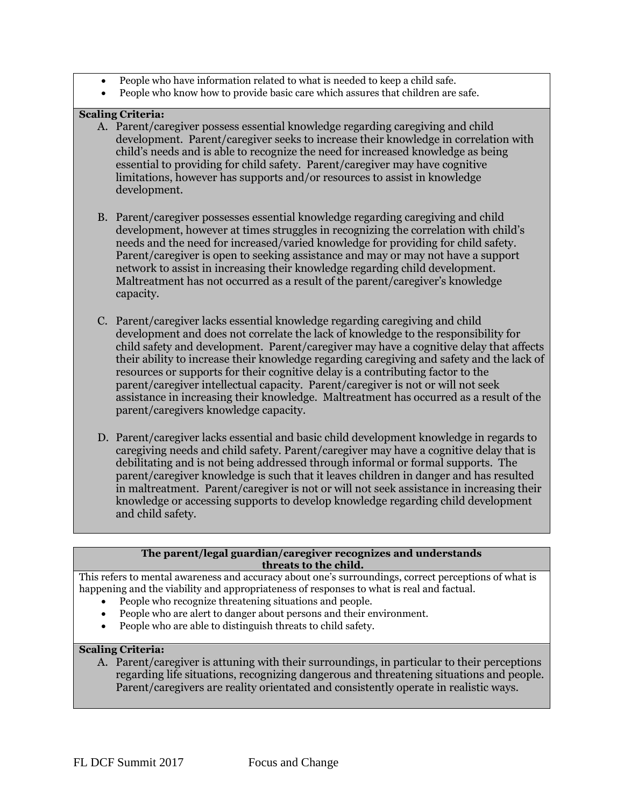- People who have information related to what is needed to keep a child safe.
- People who know how to provide basic care which assures that children are safe.

# **Scaling Criteria:**

- A. Parent/caregiver possess essential knowledge regarding caregiving and child development. Parent/caregiver seeks to increase their knowledge in correlation with child's needs and is able to recognize the need for increased knowledge as being essential to providing for child safety. Parent/caregiver may have cognitive limitations, however has supports and/or resources to assist in knowledge development.
- B. Parent/caregiver possesses essential knowledge regarding caregiving and child development, however at times struggles in recognizing the correlation with child's needs and the need for increased/varied knowledge for providing for child safety. Parent/caregiver is open to seeking assistance and may or may not have a support network to assist in increasing their knowledge regarding child development. Maltreatment has not occurred as a result of the parent/caregiver's knowledge capacity.
- C. Parent/caregiver lacks essential knowledge regarding caregiving and child development and does not correlate the lack of knowledge to the responsibility for child safety and development. Parent/caregiver may have a cognitive delay that affects their ability to increase their knowledge regarding caregiving and safety and the lack of resources or supports for their cognitive delay is a contributing factor to the parent/caregiver intellectual capacity. Parent/caregiver is not or will not seek assistance in increasing their knowledge. Maltreatment has occurred as a result of the parent/caregivers knowledge capacity.
- D. Parent/caregiver lacks essential and basic child development knowledge in regards to caregiving needs and child safety. Parent/caregiver may have a cognitive delay that is debilitating and is not being addressed through informal or formal supports. The parent/caregiver knowledge is such that it leaves children in danger and has resulted in maltreatment. Parent/caregiver is not or will not seek assistance in increasing their knowledge or accessing supports to develop knowledge regarding child development and child safety.

#### **The parent/legal guardian/caregiver recognizes and understands threats to the child.**

This refers to mental awareness and accuracy about one's surroundings, correct perceptions of what is happening and the viability and appropriateness of responses to what is real and factual.

- People who recognize threatening situations and people.
- People who are alert to danger about persons and their environment.
- People who are able to distinguish threats to child safety.

# **Scaling Criteria:**

A. Parent/caregiver is attuning with their surroundings, in particular to their perceptions regarding life situations, recognizing dangerous and threatening situations and people. Parent/caregivers are reality orientated and consistently operate in realistic ways.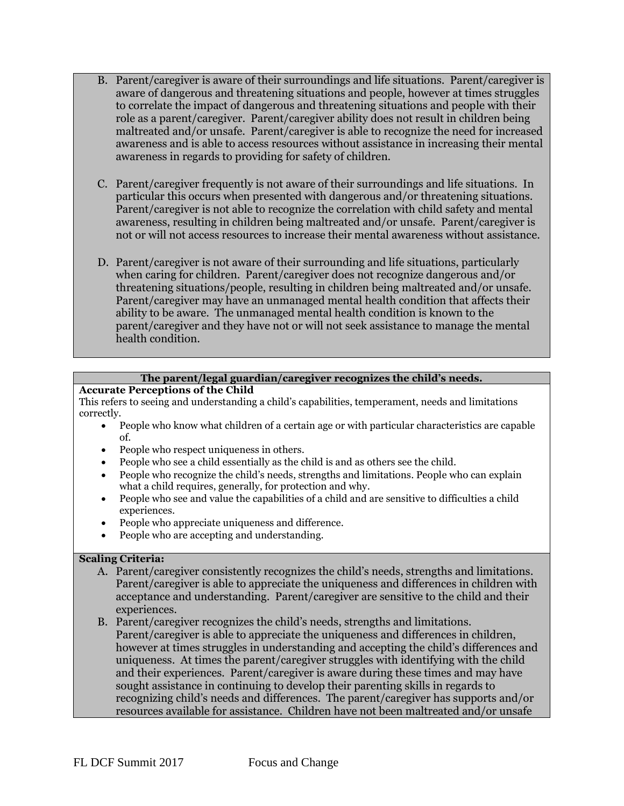- B. Parent/caregiver is aware of their surroundings and life situations. Parent/caregiver is aware of dangerous and threatening situations and people, however at times struggles to correlate the impact of dangerous and threatening situations and people with their role as a parent/caregiver. Parent/caregiver ability does not result in children being maltreated and/or unsafe. Parent/caregiver is able to recognize the need for increased awareness and is able to access resources without assistance in increasing their mental awareness in regards to providing for safety of children.
- C. Parent/caregiver frequently is not aware of their surroundings and life situations. In particular this occurs when presented with dangerous and/or threatening situations. Parent/caregiver is not able to recognize the correlation with child safety and mental awareness, resulting in children being maltreated and/or unsafe. Parent/caregiver is not or will not access resources to increase their mental awareness without assistance.
- D. Parent/caregiver is not aware of their surrounding and life situations, particularly when caring for children. Parent/caregiver does not recognize dangerous and/or threatening situations/people, resulting in children being maltreated and/or unsafe. Parent/caregiver may have an unmanaged mental health condition that affects their ability to be aware. The unmanaged mental health condition is known to the parent/caregiver and they have not or will not seek assistance to manage the mental health condition.

## **The parent/legal guardian/caregiver recognizes the child's needs.**

#### **Accurate Perceptions of the Child**

This refers to seeing and understanding a child's capabilities, temperament, needs and limitations correctly.

- People who know what children of a certain age or with particular characteristics are capable of.
- People who respect uniqueness in others.
- People who see a child essentially as the child is and as others see the child.
- People who recognize the child's needs, strengths and limitations. People who can explain what a child requires, generally, for protection and why.
- People who see and value the capabilities of a child and are sensitive to difficulties a child experiences.
- People who appreciate uniqueness and difference.
- People who are accepting and understanding.

- A. Parent/caregiver consistently recognizes the child's needs, strengths and limitations. Parent/caregiver is able to appreciate the uniqueness and differences in children with acceptance and understanding. Parent/caregiver are sensitive to the child and their experiences.
- B. Parent/caregiver recognizes the child's needs, strengths and limitations. Parent/caregiver is able to appreciate the uniqueness and differences in children, however at times struggles in understanding and accepting the child's differences and uniqueness. At times the parent/caregiver struggles with identifying with the child and their experiences. Parent/caregiver is aware during these times and may have sought assistance in continuing to develop their parenting skills in regards to recognizing child's needs and differences. The parent/caregiver has supports and/or resources available for assistance. Children have not been maltreated and/or unsafe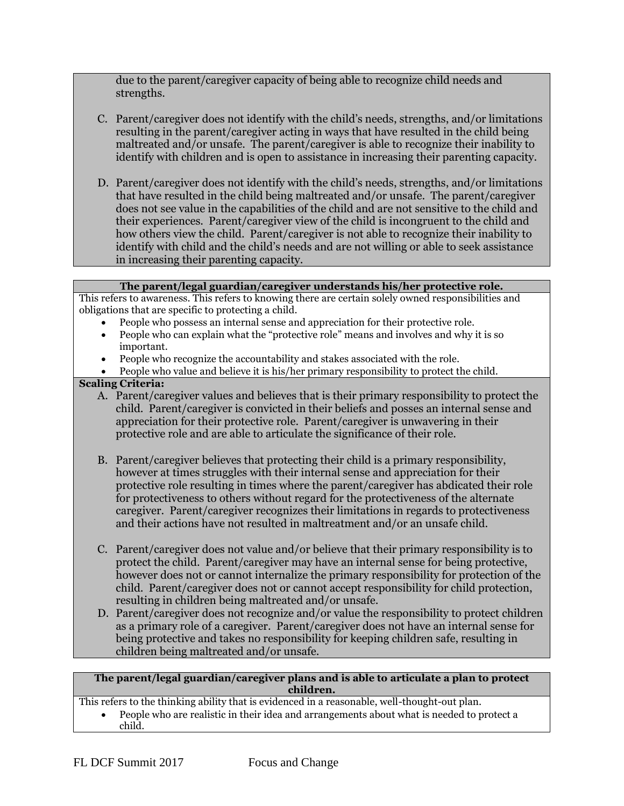due to the parent/caregiver capacity of being able to recognize child needs and strengths.

- C. Parent/caregiver does not identify with the child's needs, strengths, and/or limitations resulting in the parent/caregiver acting in ways that have resulted in the child being maltreated and/or unsafe. The parent/caregiver is able to recognize their inability to identify with children and is open to assistance in increasing their parenting capacity.
- D. Parent/caregiver does not identify with the child's needs, strengths, and/or limitations that have resulted in the child being maltreated and/or unsafe. The parent/caregiver does not see value in the capabilities of the child and are not sensitive to the child and their experiences. Parent/caregiver view of the child is incongruent to the child and how others view the child. Parent/caregiver is not able to recognize their inability to identify with child and the child's needs and are not willing or able to seek assistance in increasing their parenting capacity.

| The parent/legal guardian/caregiver understands his/her protective role.                             |
|------------------------------------------------------------------------------------------------------|
| This refers to awareness. This refers to knowing there are certain solely owned responsibilities and |
| obligations that are specific to protecting a child.                                                 |
| People who possess an internal sense and appreciation for their protective role.                     |

- People who can explain what the "protective role" means and involves and why it is so important.
- People who recognize the accountability and stakes associated with the role.
- People who value and believe it is his/her primary responsibility to protect the child.

# **Scaling Criteria:**

- A. Parent/caregiver values and believes that is their primary responsibility to protect the child. Parent/caregiver is convicted in their beliefs and posses an internal sense and appreciation for their protective role. Parent/caregiver is unwavering in their protective role and are able to articulate the significance of their role.
- B. Parent/caregiver believes that protecting their child is a primary responsibility, however at times struggles with their internal sense and appreciation for their protective role resulting in times where the parent/caregiver has abdicated their role for protectiveness to others without regard for the protectiveness of the alternate caregiver. Parent/caregiver recognizes their limitations in regards to protectiveness and their actions have not resulted in maltreatment and/or an unsafe child.
- C. Parent/caregiver does not value and/or believe that their primary responsibility is to protect the child. Parent/caregiver may have an internal sense for being protective, however does not or cannot internalize the primary responsibility for protection of the child. Parent/caregiver does not or cannot accept responsibility for child protection, resulting in children being maltreated and/or unsafe.
- D. Parent/caregiver does not recognize and/or value the responsibility to protect children as a primary role of a caregiver. Parent/caregiver does not have an internal sense for being protective and takes no responsibility for keeping children safe, resulting in children being maltreated and/or unsafe.

## **The parent/legal guardian/caregiver plans and is able to articulate a plan to protect children.**

This refers to the thinking ability that is evidenced in a reasonable, well-thought-out plan.

 People who are realistic in their idea and arrangements about what is needed to protect a child.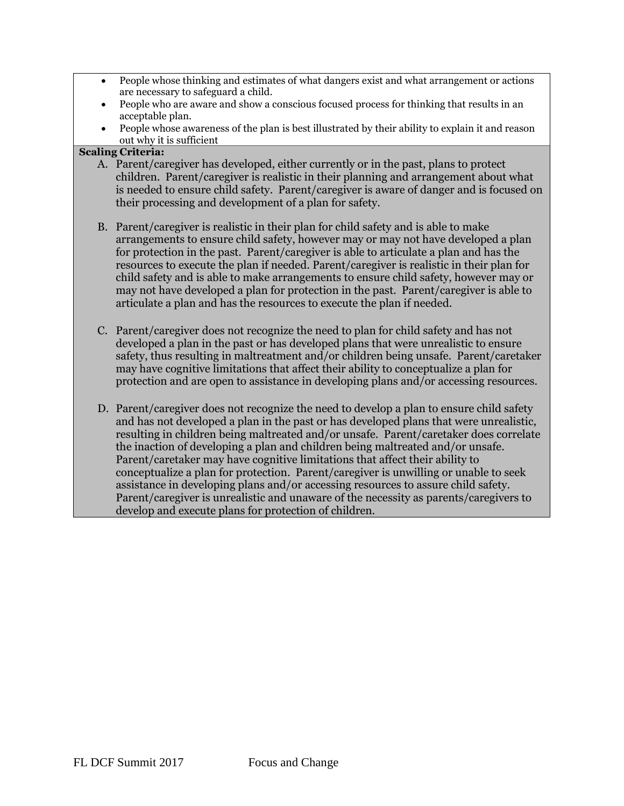- People whose thinking and estimates of what dangers exist and what arrangement or actions are necessary to safeguard a child.
- People who are aware and show a conscious focused process for thinking that results in an acceptable plan.
- People whose awareness of the plan is best illustrated by their ability to explain it and reason out why it is sufficient

- A. Parent/caregiver has developed, either currently or in the past, plans to protect children. Parent/caregiver is realistic in their planning and arrangement about what is needed to ensure child safety. Parent/caregiver is aware of danger and is focused on their processing and development of a plan for safety.
- B. Parent/caregiver is realistic in their plan for child safety and is able to make arrangements to ensure child safety, however may or may not have developed a plan for protection in the past. Parent/caregiver is able to articulate a plan and has the resources to execute the plan if needed. Parent/caregiver is realistic in their plan for child safety and is able to make arrangements to ensure child safety, however may or may not have developed a plan for protection in the past. Parent/caregiver is able to articulate a plan and has the resources to execute the plan if needed.
- C. Parent/caregiver does not recognize the need to plan for child safety and has not developed a plan in the past or has developed plans that were unrealistic to ensure safety, thus resulting in maltreatment and/or children being unsafe. Parent/caretaker may have cognitive limitations that affect their ability to conceptualize a plan for protection and are open to assistance in developing plans and/or accessing resources.
- D. Parent/caregiver does not recognize the need to develop a plan to ensure child safety and has not developed a plan in the past or has developed plans that were unrealistic, resulting in children being maltreated and/or unsafe. Parent/caretaker does correlate the inaction of developing a plan and children being maltreated and/or unsafe. Parent/caretaker may have cognitive limitations that affect their ability to conceptualize a plan for protection. Parent/caregiver is unwilling or unable to seek assistance in developing plans and/or accessing resources to assure child safety. Parent/caregiver is unrealistic and unaware of the necessity as parents/caregivers to develop and execute plans for protection of children.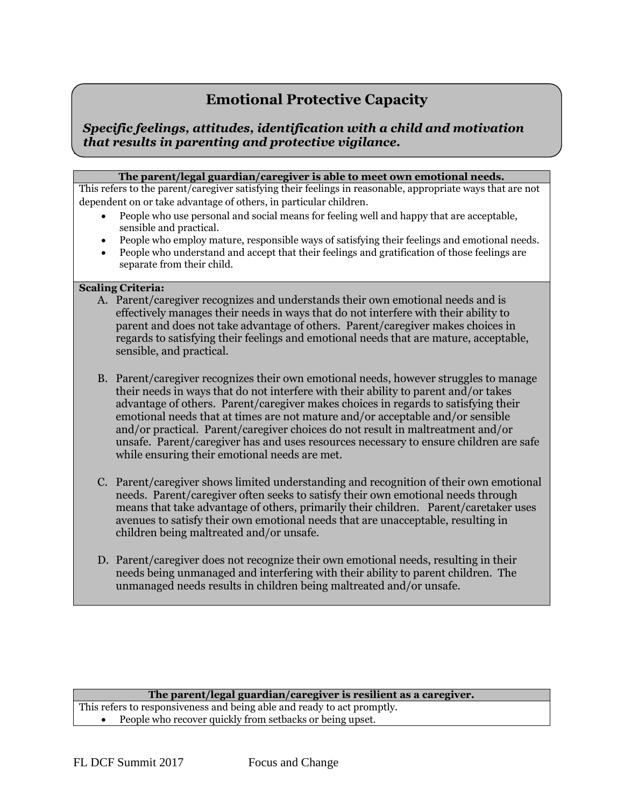# **Emotional Protective Capacity**

# **Parent/Caregiver Protective Capacities** *that results in parenting and protective vigilance.Specific feelings, attitudes, identification with a child and motivation*

### **The parent/legal guardian/caregiver is able to meet own emotional needs.**

This refers to the parent/caregiver satisfying their feelings in reasonable, appropriate ways that are not dependent on or take advantage of others, in particular children.

- People who use personal and social means for feeling well and happy that are acceptable, sensible and practical.
- People who employ mature, responsible ways of satisfying their feelings and emotional needs.
- People who understand and accept that their feelings and gratification of those feelings are separate from their child.

## **Scaling Criteria:**

- A. Parent/caregiver recognizes and understands their own emotional needs and is effectively manages their needs in ways that do not interfere with their ability to parent and does not take advantage of others. Parent/caregiver makes choices in regards to satisfying their feelings and emotional needs that are mature, acceptable, sensible, and practical.
- B. Parent/caregiver recognizes their own emotional needs, however struggles to manage their needs in ways that do not interfere with their ability to parent and/or takes advantage of others. Parent/caregiver makes choices in regards to satisfying their emotional needs that at times are not mature and/or acceptable and/or sensible and/or practical. Parent/caregiver choices do not result in maltreatment and/or unsafe. Parent/caregiver has and uses resources necessary to ensure children are safe while ensuring their emotional needs are met.
- C. Parent/caregiver shows limited understanding and recognition of their own emotional needs. Parent/caregiver often seeks to satisfy their own emotional needs through means that take advantage of others, primarily their children. Parent/caretaker uses avenues to satisfy their own emotional needs that are unacceptable, resulting in children being maltreated and/or unsafe.
- D. Parent/caregiver does not recognize their own emotional needs, resulting in their needs being unmanaged and interfering with their ability to parent children. The unmanaged needs results in children being maltreated and/or unsafe.

#### **The parent/legal guardian/caregiver is resilient as a caregiver.**

This refers to responsiveness and being able and ready to act promptly. • People who recover quickly from setbacks or being upset.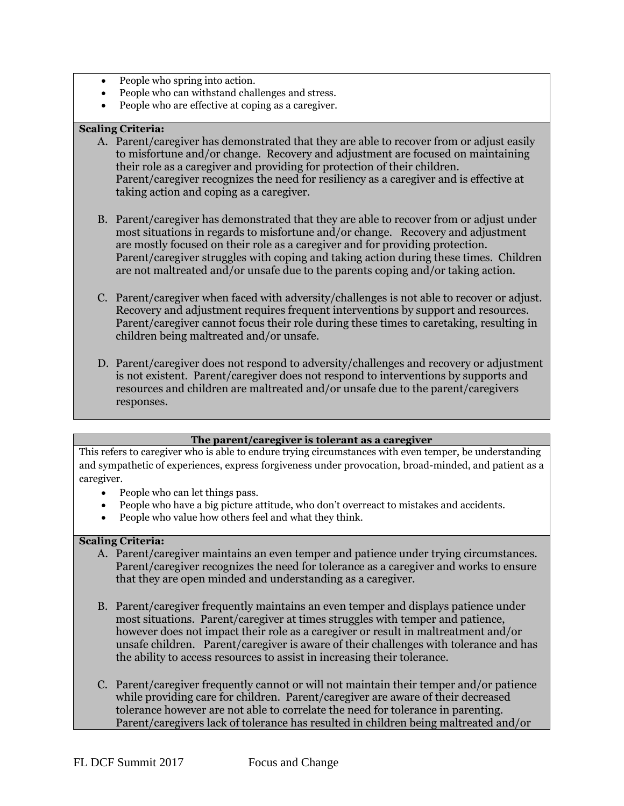- People who spring into action.
- People who can withstand challenges and stress.
- People who are effective at coping as a caregiver.

# **Scaling Criteria:**

- A. Parent/caregiver has demonstrated that they are able to recover from or adjust easily to [misfortune](http://www.merriam-webster.com/dictionary/misfortune) and/or change. Recovery and adjustment are focused on maintaining their role as a caregiver and providing for protection of their children. Parent/caregiver recognizes the need for resiliency as a caregiver and is effective at taking action and coping as a caregiver.
- B. Parent/caregiver has demonstrated that they are able to recover from or adjust under most situations in regards to misfortune and/or change. Recovery and adjustment are mostly focused on their role as a caregiver and for providing protection. Parent/caregiver struggles with coping and taking action during these times. Children are not maltreated and/or unsafe due to the parents coping and/or taking action.
- C. Parent/caregiver when faced with adversity/challenges is not able to recover or adjust. Recovery and adjustment requires frequent interventions by support and resources. Parent/caregiver cannot focus their role during these times to caretaking, resulting in children being maltreated and/or unsafe.
- D. Parent/caregiver does not respond to adversity/challenges and recovery or adjustment is not existent. Parent/caregiver does not respond to interventions by supports and resources and children are maltreated and/or unsafe due to the parent/caregivers responses.

## **The parent/caregiver is tolerant as a caregiver**

This refers to caregiver who is able to endure trying circumstances with even temper, be understanding and sympathetic of experiences, express forgiveness under provocation, broad-minded, and patient as a caregiver.

- People who can let things pass.
- People who have a big picture attitude, who don't overreact to mistakes and accidents.
- People who value how others feel and what they think.

- A. Parent/caregiver maintains an even temper and patience under trying circumstances. Parent/caregiver recognizes the need for tolerance as a caregiver and works to ensure that they are open minded and understanding as a caregiver.
- B. Parent/caregiver frequently maintains an even temper and displays patience under most situations. Parent/caregiver at times struggles with temper and patience, however does not impact their role as a caregiver or result in maltreatment and/or unsafe children. Parent/caregiver is aware of their challenges with tolerance and has the ability to access resources to assist in increasing their tolerance.
- C. Parent/caregiver frequently cannot or will not maintain their temper and/or patience while providing care for children. Parent/caregiver are aware of their decreased tolerance however are not able to correlate the need for tolerance in parenting. Parent/caregivers lack of tolerance has resulted in children being maltreated and/or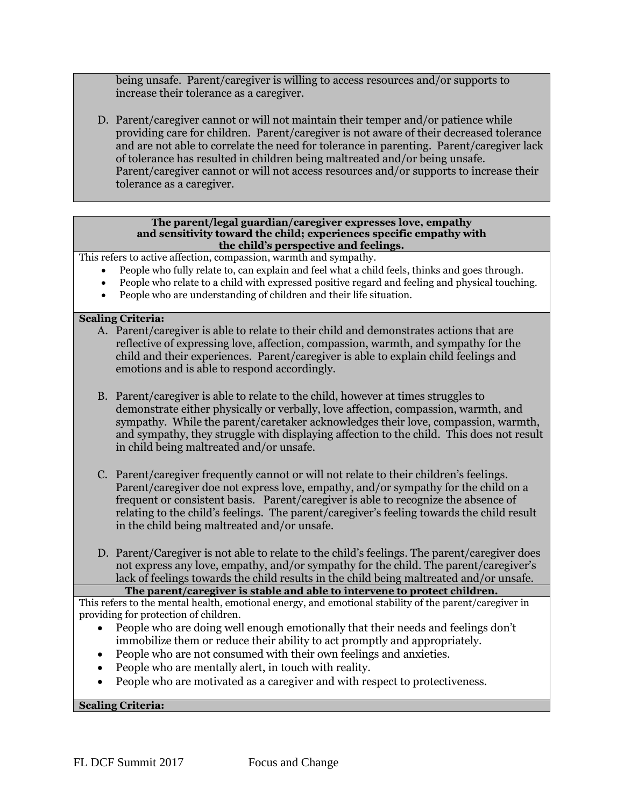being unsafe. Parent/caregiver is willing to access resources and/or supports to increase their tolerance as a caregiver.

D. Parent/caregiver cannot or will not maintain their temper and/or patience while providing care for children. Parent/caregiver is not aware of their decreased tolerance and are not able to correlate the need for tolerance in parenting. Parent/caregiver lack of tolerance has resulted in children being maltreated and/or being unsafe. Parent/caregiver cannot or will not access resources and/or supports to increase their tolerance as a caregiver.

#### **The parent/legal guardian/caregiver expresses love, empathy and sensitivity toward the child; experiences specific empathy with the child's perspective and feelings.**

This refers to active affection, compassion, warmth and sympathy.

- People who fully relate to, can explain and feel what a child feels, thinks and goes through.
- People who relate to a child with expressed positive regard and feeling and physical touching.
- People who are understanding of children and their life situation.

## **Scaling Criteria:**

- A. Parent/caregiver is able to relate to their child and demonstrates actions that are reflective of expressing love, affection, compassion, warmth, and sympathy for the child and their experiences. Parent/caregiver is able to explain child feelings and emotions and is able to respond accordingly.
- B. Parent/caregiver is able to relate to the child, however at times struggles to demonstrate either physically or verbally, love affection, compassion, warmth, and sympathy. While the parent/caretaker acknowledges their love, compassion, warmth, and sympathy, they struggle with displaying affection to the child. This does not result in child being maltreated and/or unsafe.
- C. Parent/caregiver frequently cannot or will not relate to their children's feelings. Parent/caregiver doe not express love, empathy, and/or sympathy for the child on a frequent or consistent basis. Parent/caregiver is able to recognize the absence of relating to the child's feelings. The parent/caregiver's feeling towards the child result in the child being maltreated and/or unsafe.
- D. Parent/Caregiver is not able to relate to the child's feelings. The parent/caregiver does not express any love, empathy, and/or sympathy for the child. The parent/caregiver's lack of feelings towards the child results in the child being maltreated and/or unsafe.

**The parent/caregiver is stable and able to intervene to protect children.** 

This refers to the mental health, emotional energy, and emotional stability of the parent/caregiver in providing for protection of children.

- People who are doing well enough emotionally that their needs and feelings don't immobilize them or reduce their ability to act promptly and appropriately.
- People who are not consumed with their own feelings and anxieties.
- People who are mentally alert, in touch with reality.
- People who are motivated as a caregiver and with respect to protectiveness.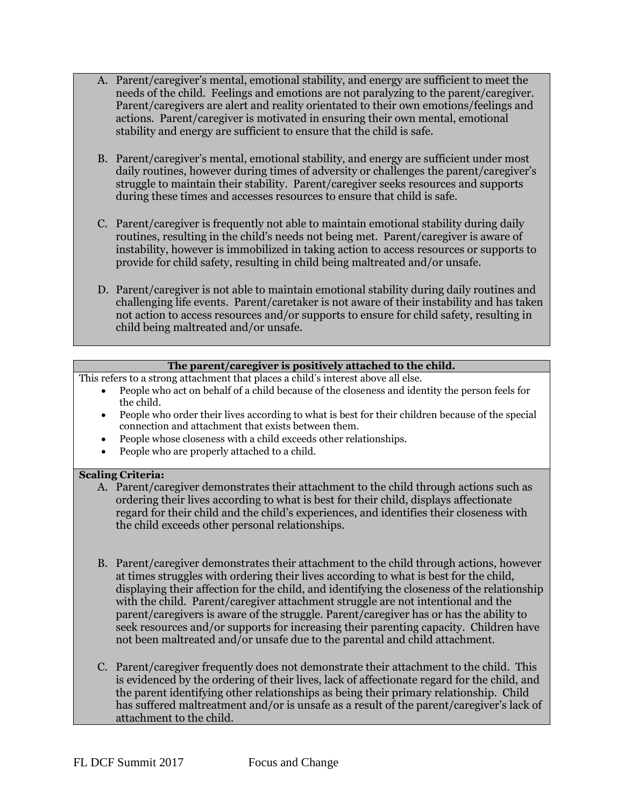- A. Parent/caregiver's mental, emotional stability, and energy are sufficient to meet the needs of the child. Feelings and emotions are not paralyzing to the parent/caregiver. Parent/caregivers are alert and reality orientated to their own emotions/feelings and actions. Parent/caregiver is motivated in ensuring their own mental, emotional stability and energy are sufficient to ensure that the child is safe.
- B. Parent/caregiver's mental, emotional stability, and energy are sufficient under most daily routines, however during times of adversity or challenges the parent/caregiver's struggle to maintain their stability. Parent/caregiver seeks resources and supports during these times and accesses resources to ensure that child is safe.
- C. Parent/caregiver is frequently not able to maintain emotional stability during daily routines, resulting in the child's needs not being met. Parent/caregiver is aware of instability, however is immobilized in taking action to access resources or supports to provide for child safety, resulting in child being maltreated and/or unsafe.
- D. Parent/caregiver is not able to maintain emotional stability during daily routines and challenging life events. Parent/caretaker is not aware of their instability and has taken not action to access resources and/or supports to ensure for child safety, resulting in child being maltreated and/or unsafe.

# **The parent/caregiver is positively attached to the child.**

This refers to a strong attachment that places a child's interest above all else.

- People who act on behalf of a child because of the closeness and identity the person feels for the child.
- People who order their lives according to what is best for their children because of the special connection and attachment that exists between them.
- People whose closeness with a child exceeds other relationships.
- People who are properly attached to a child.

- A. Parent/caregiver demonstrates their attachment to the child through actions such as ordering their lives according to what is best for their child, displays affectionate regard for their child and the child's experiences, and identifies their closeness with the child exceeds other personal relationships.
- B. Parent/caregiver demonstrates their attachment to the child through actions, however at times struggles with ordering their lives according to what is best for the child, displaying their affection for the child, and identifying the closeness of the relationship with the child. Parent/caregiver attachment struggle are not intentional and the parent/caregivers is aware of the struggle. Parent/caregiver has or has the ability to seek resources and/or supports for increasing their parenting capacity. Children have not been maltreated and/or unsafe due to the parental and child attachment.
- C. Parent/caregiver frequently does not demonstrate their attachment to the child. This is evidenced by the ordering of their lives, lack of affectionate regard for the child, and the parent identifying other relationships as being their primary relationship. Child has suffered maltreatment and/or is unsafe as a result of the parent/caregiver's lack of attachment to the child.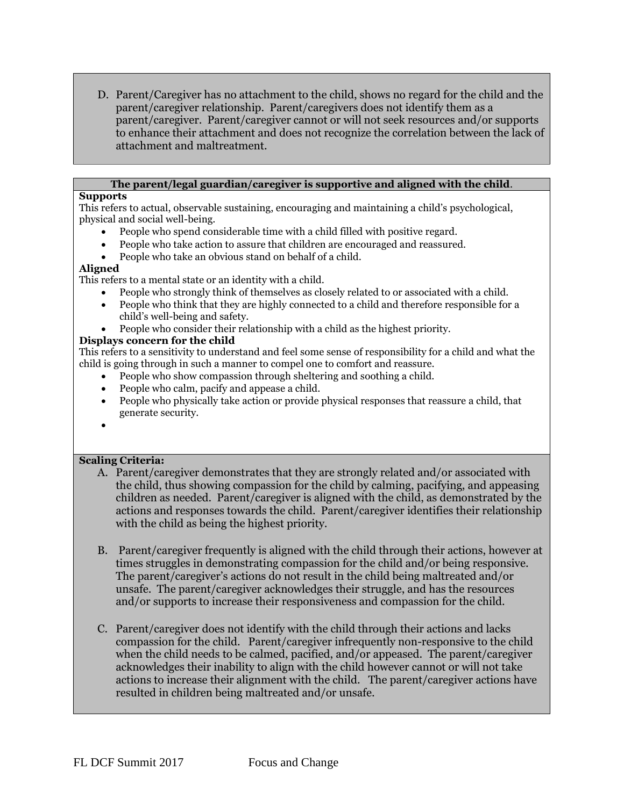D. Parent/Caregiver has no attachment to the child, shows no regard for the child and the parent/caregiver relationship. Parent/caregivers does not identify them as a parent/caregiver. Parent/caregiver cannot or will not seek resources and/or supports to enhance their attachment and does not recognize the correlation between the lack of attachment and maltreatment.

### **The parent/legal guardian/caregiver is supportive and aligned with the child**.

# **Supports**

This refers to actual, observable sustaining, encouraging and maintaining a child's psychological, physical and social well-being.

- People who spend considerable time with a child filled with positive regard.
- People who take action to assure that children are encouraged and reassured.
- People who take an obvious stand on behalf of a child.

# **Aligned**

This refers to a mental state or an identity with a child.

- People who strongly think of themselves as closely related to or associated with a child.
- People who think that they are highly connected to a child and therefore responsible for a child's well-being and safety.
- People who consider their relationship with a child as the highest priority.

# **Displays concern for the child**

This refers to a sensitivity to understand and feel some sense of responsibility for a child and what the child is going through in such a manner to compel one to comfort and reassure.

- People who show compassion through sheltering and soothing a child.
- People who calm, pacify and appease a child.
- People who physically take action or provide physical responses that reassure a child, that generate security.
- $\bullet$

- A. Parent/caregiver demonstrates that they are strongly related and/or associated with the child, thus showing compassion for the child by calming, pacifying, and appeasing children as needed. Parent/caregiver is aligned with the child, as demonstrated by the actions and responses towards the child. Parent/caregiver identifies their relationship with the child as being the highest priority.
- B. Parent/caregiver frequently is aligned with the child through their actions, however at times struggles in demonstrating compassion for the child and/or being responsive. The parent/caregiver's actions do not result in the child being maltreated and/or unsafe. The parent/caregiver acknowledges their struggle, and has the resources and/or supports to increase their responsiveness and compassion for the child.
- C. Parent/caregiver does not identify with the child through their actions and lacks compassion for the child. Parent/caregiver infrequently non-responsive to the child when the child needs to be calmed, pacified, and/or appeased. The parent/caregiver acknowledges their inability to align with the child however cannot or will not take actions to increase their alignment with the child. The parent/caregiver actions have resulted in children being maltreated and/or unsafe.